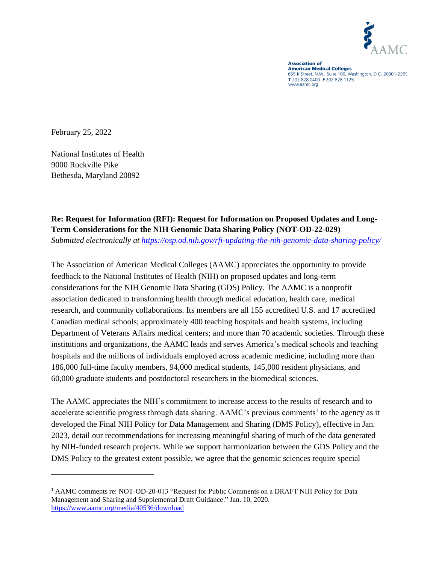

**Association of American Medical Colleges**<br>655 K Street, N.W., Suite 100, Washington, D.C. 20001-2399 T 202 828 0400 F 202 828 1125 www.aamc.org

February 25, 2022

National Institutes of Health 9000 Rockville Pike Bethesda, Maryland 20892

# **Re: Request for Information (RFI): Request for Information on Proposed Updates and Long-Term Considerations for the NIH Genomic Data Sharing Policy (NOT-OD-22-029)**

*Submitted electronically at<https://osp.od.nih.gov/rfi-updating-the-nih-genomic-data-sharing-policy/>*

The Association of American Medical Colleges (AAMC) appreciates the opportunity to provide feedback to the National Institutes of Health (NIH) on proposed updates and long-term considerations for the NIH Genomic Data Sharing (GDS) Policy. The AAMC is a nonprofit association dedicated to transforming health through medical education, health care, medical research, and community collaborations. Its members are all 155 accredited U.S. and 17 accredited Canadian medical schools; approximately 400 teaching hospitals and health systems, including Department of Veterans Affairs medical centers; and more than 70 academic societies. Through these institutions and organizations, the AAMC leads and serves America's medical schools and teaching hospitals and the millions of individuals employed across academic medicine, including more than 186,000 full-time faculty members, 94,000 medical students, 145,000 resident physicians, and 60,000 graduate students and postdoctoral researchers in the biomedical sciences.

The AAMC appreciates the NIH's commitment to increase access to the results of research and to accelerate scientific progress through data sharing. AAMC's previous comments<sup>1</sup> to the agency as it developed the Final NIH Policy for Data Management and Sharing (DMS Policy), effective in Jan. 2023, detail our recommendations for increasing meaningful sharing of much of the data generated by NIH-funded research projects. While we support harmonization between the GDS Policy and the DMS Policy to the greatest extent possible, we agree that the genomic sciences require special

<sup>1</sup> AAMC comments re: NOT-OD-20-013 "Request for Public Comments on a DRAFT NIH Policy for Data Management and Sharing and Supplemental Draft Guidance." Jan. 10, 2020. <https://www.aamc.org/media/40536/download>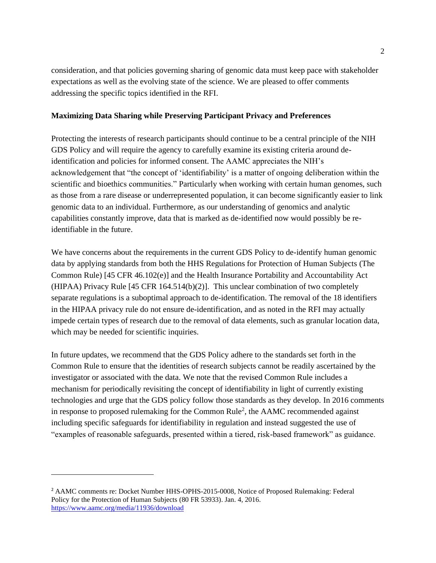consideration, and that policies governing sharing of genomic data must keep pace with stakeholder expectations as well as the evolving state of the science. We are pleased to offer comments addressing the specific topics identified in the RFI.

## **Maximizing Data Sharing while Preserving Participant Privacy and Preferences**

Protecting the interests of research participants should continue to be a central principle of the NIH GDS Policy and will require the agency to carefully examine its existing criteria around deidentification and policies for informed consent. The AAMC appreciates the NIH's acknowledgement that "the concept of 'identifiability' is a matter of ongoing deliberation within the scientific and bioethics communities." Particularly when working with certain human genomes, such as those from a rare disease or underrepresented population, it can become significantly easier to link genomic data to an individual. Furthermore, as our understanding of genomics and analytic capabilities constantly improve, data that is marked as de-identified now would possibly be reidentifiable in the future.

We have concerns about the requirements in the current GDS Policy to de-identify human genomic data by applying standards from both the HHS Regulations for Protection of Human Subjects (The Common Rule) [45 CFR 46.102(e)] and the Health Insurance Portability and Accountability Act (HIPAA) Privacy Rule [45 CFR 164.514(b)(2)]. This unclear combination of two completely separate regulations is a suboptimal approach to de-identification. The removal of the 18 identifiers in the HIPAA privacy rule do not ensure de-identification, and as noted in the RFI may actually impede certain types of research due to the removal of data elements, such as granular location data, which may be needed for scientific inquiries.

In future updates, we recommend that the GDS Policy adhere to the standards set forth in the Common Rule to ensure that the identities of research subjects cannot be readily ascertained by the investigator or associated with the data. We note that the revised Common Rule includes a mechanism for periodically revisiting the concept of identifiability in light of currently existing technologies and urge that the GDS policy follow those standards as they develop. In 2016 comments in response to proposed rulemaking for the Common Rule<sup>2</sup>, the AAMC recommended against including specific safeguards for identifiability in regulation and instead suggested the use of "examples of reasonable safeguards, presented within a tiered, risk-based framework" as guidance.

<sup>2</sup> AAMC comments re: Docket Number HHS-OPHS-2015-0008, Notice of Proposed Rulemaking: Federal Policy for the Protection of Human Subjects (80 FR 53933). Jan. 4, 2016. <https://www.aamc.org/media/11936/download>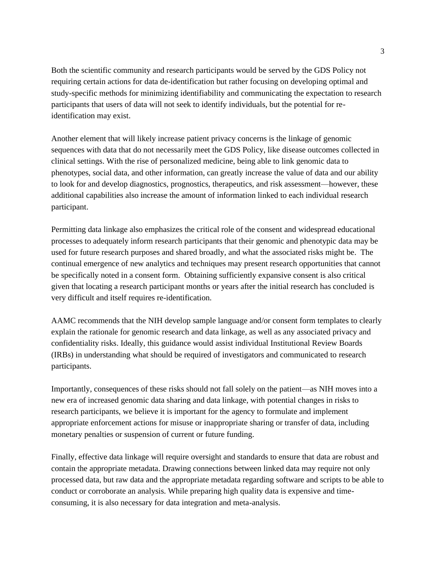Both the scientific community and research participants would be served by the GDS Policy not requiring certain actions for data de-identification but rather focusing on developing optimal and study-specific methods for minimizing identifiability and communicating the expectation to research participants that users of data will not seek to identify individuals, but the potential for reidentification may exist.

Another element that will likely increase patient privacy concerns is the linkage of genomic sequences with data that do not necessarily meet the GDS Policy, like disease outcomes collected in clinical settings. With the rise of personalized medicine, being able to link genomic data to phenotypes, social data, and other information, can greatly increase the value of data and our ability to look for and develop diagnostics, prognostics, therapeutics, and risk assessment—however, these additional capabilities also increase the amount of information linked to each individual research participant.

Permitting data linkage also emphasizes the critical role of the consent and widespread educational processes to adequately inform research participants that their genomic and phenotypic data may be used for future research purposes and shared broadly, and what the associated risks might be. The continual emergence of new analytics and techniques may present research opportunities that cannot be specifically noted in a consent form. Obtaining sufficiently expansive consent is also critical given that locating a research participant months or years after the initial research has concluded is very difficult and itself requires re-identification.

AAMC recommends that the NIH develop sample language and/or consent form templates to clearly explain the rationale for genomic research and data linkage, as well as any associated privacy and confidentiality risks. Ideally, this guidance would assist individual Institutional Review Boards (IRBs) in understanding what should be required of investigators and communicated to research participants.

Importantly, consequences of these risks should not fall solely on the patient—as NIH moves into a new era of increased genomic data sharing and data linkage, with potential changes in risks to research participants, we believe it is important for the agency to formulate and implement appropriate enforcement actions for misuse or inappropriate sharing or transfer of data, including monetary penalties or suspension of current or future funding.

Finally, effective data linkage will require oversight and standards to ensure that data are robust and contain the appropriate metadata. Drawing connections between linked data may require not only processed data, but raw data and the appropriate metadata regarding software and scripts to be able to conduct or corroborate an analysis. While preparing high quality data is expensive and timeconsuming, it is also necessary for data integration and meta-analysis.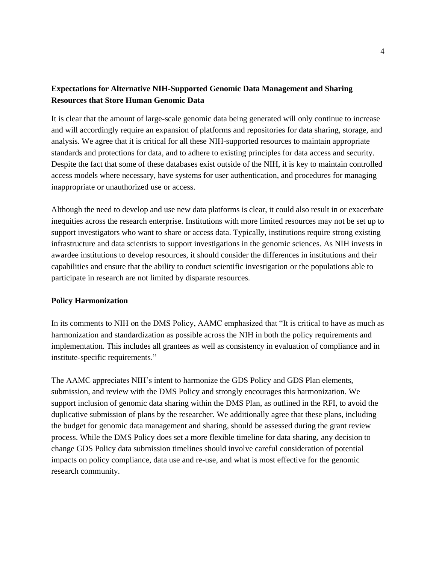## **Expectations for Alternative NIH-Supported Genomic Data Management and Sharing Resources that Store Human Genomic Data**

It is clear that the amount of large-scale genomic data being generated will only continue to increase and will accordingly require an expansion of platforms and repositories for data sharing, storage, and analysis. We agree that it is critical for all these NIH-supported resources to maintain appropriate standards and protections for data, and to adhere to existing principles for data access and security. Despite the fact that some of these databases exist outside of the NIH, it is key to maintain controlled access models where necessary, have systems for user authentication, and procedures for managing inappropriate or unauthorized use or access.

Although the need to develop and use new data platforms is clear, it could also result in or exacerbate inequities across the research enterprise. Institutions with more limited resources may not be set up to support investigators who want to share or access data. Typically, institutions require strong existing infrastructure and data scientists to support investigations in the genomic sciences. As NIH invests in awardee institutions to develop resources, it should consider the differences in institutions and their capabilities and ensure that the ability to conduct scientific investigation or the populations able to participate in research are not limited by disparate resources.

### **Policy Harmonization**

In its comments to NIH on the DMS Policy, AAMC emphasized that "It is critical to have as much as harmonization and standardization as possible across the NIH in both the policy requirements and implementation. This includes all grantees as well as consistency in evaluation of compliance and in institute-specific requirements."

The AAMC appreciates NIH's intent to harmonize the GDS Policy and GDS Plan elements, submission, and review with the DMS Policy and strongly encourages this harmonization. We support inclusion of genomic data sharing within the DMS Plan, as outlined in the RFI, to avoid the duplicative submission of plans by the researcher. We additionally agree that these plans, including the budget for genomic data management and sharing, should be assessed during the grant review process. While the DMS Policy does set a more flexible timeline for data sharing, any decision to change GDS Policy data submission timelines should involve careful consideration of potential impacts on policy compliance, data use and re-use, and what is most effective for the genomic research community.